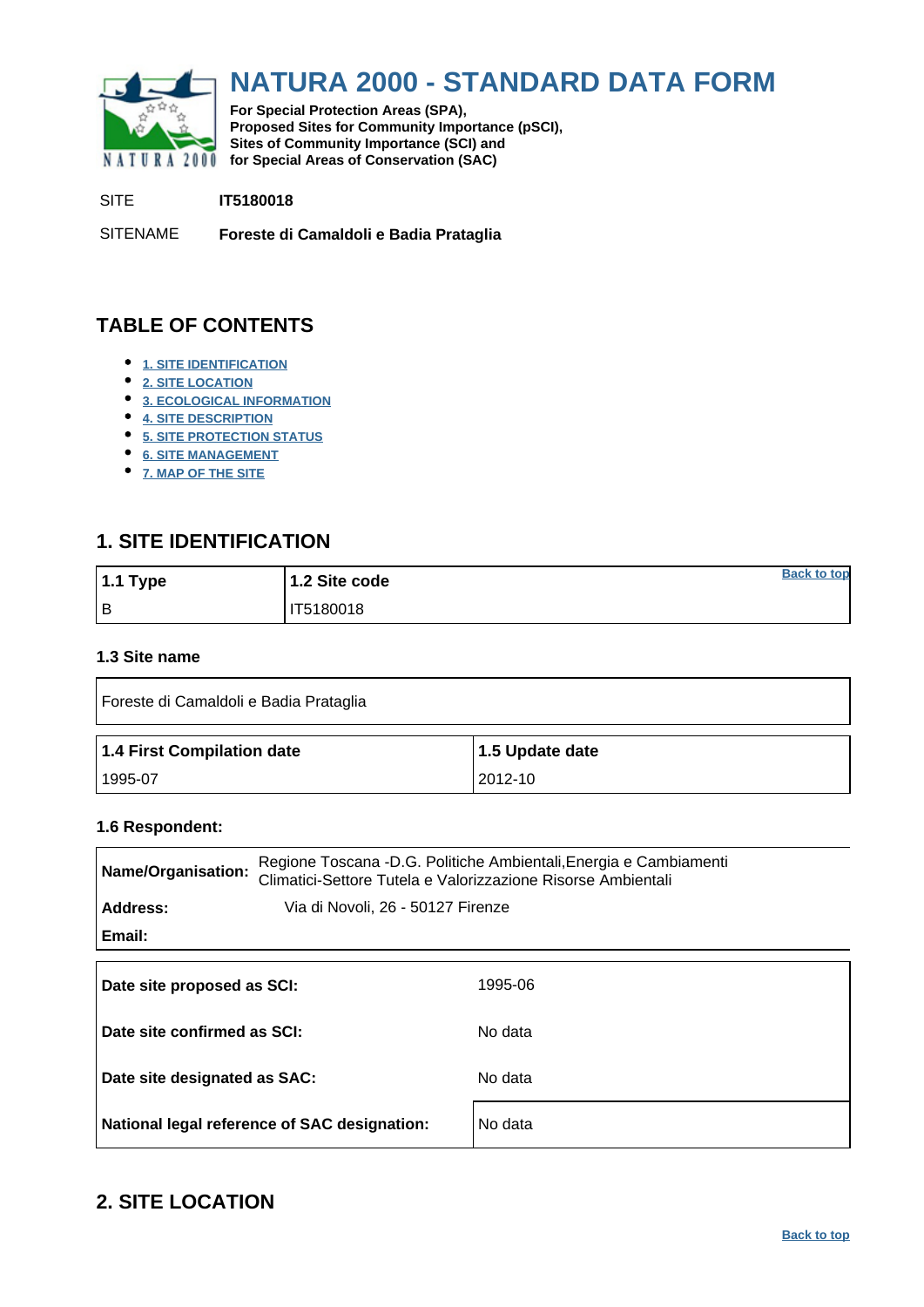<span id="page-0-0"></span>

# **NATURA 2000 - STANDARD DATA FORM**

**For Special Protection Areas (SPA), Proposed Sites for Community Importance (pSCI), Sites of Community Importance (SCI) and NATURA 2000** for Special Areas of Conservation (SAC)

SITE **IT5180018**

SITENAME **Foreste di Camaldoli e Badia Prataglia**

# **TABLE OF CONTENTS**

- **[1. SITE IDENTIFICATION](#page-0-1)**
- **[2. SITE LOCATION](#page-0-2)**
- **[3. ECOLOGICAL INFORMATION](#page-1-0)**
- **[4. SITE DESCRIPTION](#page-6-0)**
- **[5. SITE PROTECTION STATUS](#page-7-0)**
- **[6. SITE MANAGEMENT](#page-7-1)**
- **[7. MAP OF THE SITE](#page-8-0)**

# <span id="page-0-1"></span>**1. SITE IDENTIFICATION**

| 1.1 Type | 1.2 Site code | <b>Back to top</b> |
|----------|---------------|--------------------|
| Iв       | IT5180018     |                    |

### **1.3 Site name**

| Foreste di Camaldoli e Badia Prataglia |                 |  |  |  |  |  |  |  |
|----------------------------------------|-----------------|--|--|--|--|--|--|--|
| 1.4 First Compilation date             | 1.5 Update date |  |  |  |  |  |  |  |
| 1995-07                                | 2012-10         |  |  |  |  |  |  |  |

#### **1.6 Respondent:**

| Name/Organisation:                            | Regione Toscana -D.G. Politiche Ambientali, Energia e Cambiamenti<br>Climatici-Settore Tutela e Valorizzazione Risorse Ambientali |
|-----------------------------------------------|-----------------------------------------------------------------------------------------------------------------------------------|
| Address:<br>Via di Novoli, 26 - 50127 Firenze |                                                                                                                                   |
| Email:                                        |                                                                                                                                   |
| Date site proposed as SCI:                    | 1995-06                                                                                                                           |
| Date site confirmed as SCI:                   | No data                                                                                                                           |
| Date site designated as SAC:                  | No data                                                                                                                           |
| National legal reference of SAC designation:  | No data                                                                                                                           |

# <span id="page-0-2"></span>**2. SITE LOCATION**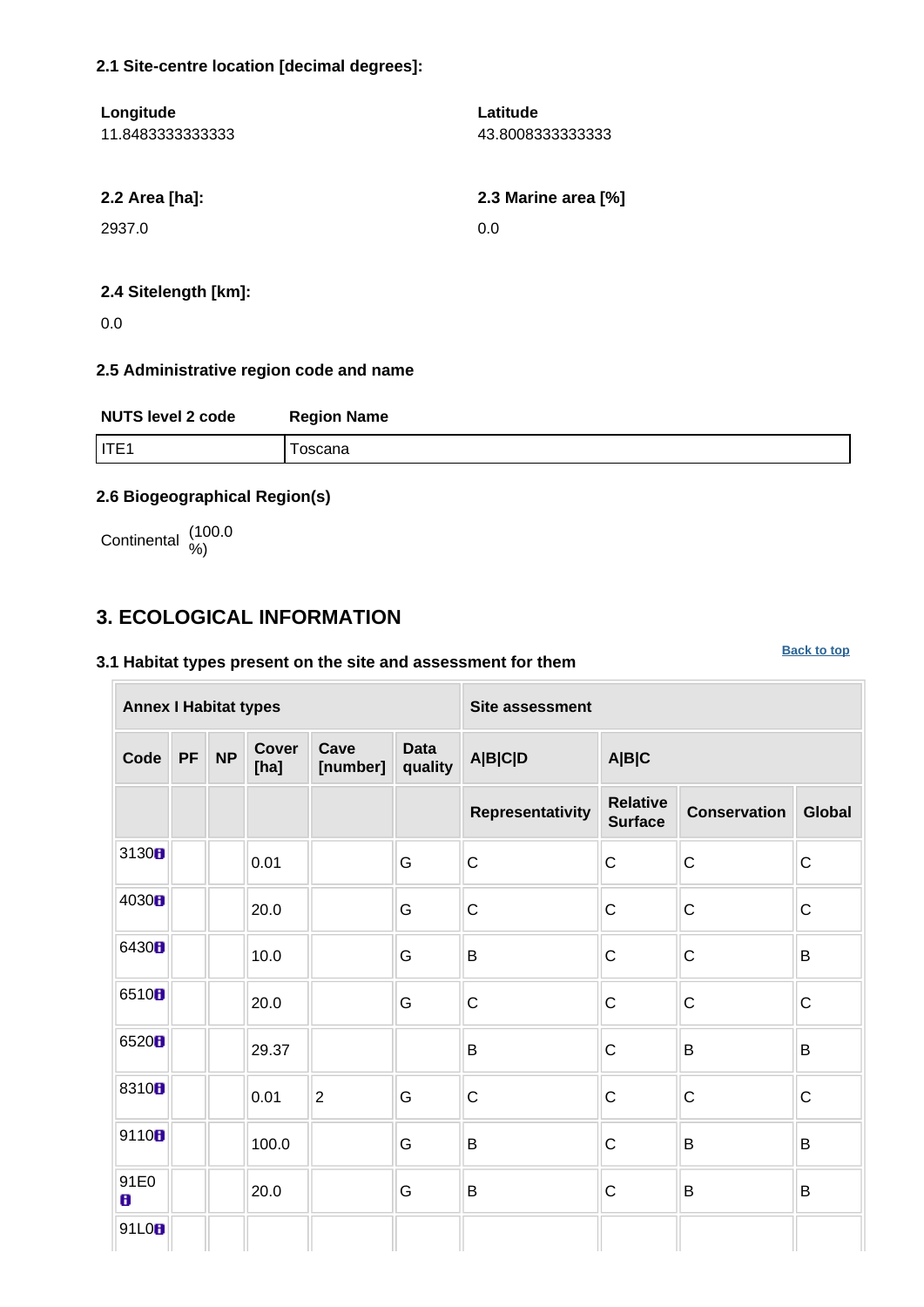### **2.1 Site-centre location [decimal degrees]:**

| Longitude        | Latitude            |
|------------------|---------------------|
| 11.8483333333333 | 43.80083333333333   |
| 2.2 Area [ha]:   | 2.3 Marine area [%] |
| 2937.0           | 0.0                 |

# **2.4 Sitelength [km]:**

0.0

### **2.5 Administrative region code and name**

| <b>NUTS level 2 code</b> | <b>Region Name</b> |
|--------------------------|--------------------|
| IITE1                    | oscana             |

## **2.6 Biogeographical Region(s)**

Continental (100.0

# <span id="page-1-0"></span>**3. ECOLOGICAL INFORMATION**

### **3.1 Habitat types present on the site and assessment for them**

**[Back to top](#page-0-0)**

| <b>Annex I Habitat types</b> |           |           |                      |                  |                        | Site assessment  |                                   |                                      |              |  |  |  |
|------------------------------|-----------|-----------|----------------------|------------------|------------------------|------------------|-----------------------------------|--------------------------------------|--------------|--|--|--|
| Code                         | <b>PF</b> | <b>NP</b> | <b>Cover</b><br>[ha] | Cave<br>[number] | <b>Data</b><br>quality | <b>A B C D</b>   | A B C                             |                                      |              |  |  |  |
|                              |           |           |                      |                  |                        | Representativity | <b>Relative</b><br><b>Surface</b> | <b>Conservation</b><br><b>Global</b> |              |  |  |  |
| 3130 <sub>0</sub>            |           |           | 0.01                 |                  | G                      | $\overline{C}$   | $\mathsf{C}$                      | $\mathsf{C}$                         | $\mathsf{C}$ |  |  |  |
| 4030H                        |           |           | 20.0                 |                  | G                      | $\overline{C}$   | $\mathsf C$                       | $\mathsf{C}$                         | $\mathsf{C}$ |  |  |  |
| 6430B                        |           |           | 10.0                 |                  | G                      | $\sf B$          | $\mathsf{C}$                      | $\mathsf{C}$                         | $\mathsf B$  |  |  |  |
| 6510B                        |           |           | 20.0                 |                  | G                      | $\mathsf C$      | $\mathsf{C}$                      | $\mathsf{C}$                         | $\mathsf{C}$ |  |  |  |
| 6520B                        |           |           | 29.37                |                  |                        | $\mathsf B$      | $\mathsf{C}$                      | $\mathsf B$                          | $\mathsf B$  |  |  |  |
| 8310 <sub>8</sub>            |           |           | 0.01                 | $\overline{2}$   | G                      | $\mathbf C$      | $\mathsf C$                       | $\mathsf C$                          | $\mathsf C$  |  |  |  |
| 9110B                        |           |           | 100.0                |                  | G                      | $\mathsf B$      | $\mathsf C$                       | B                                    | $\mathsf B$  |  |  |  |
| 91E0<br>8                    |           |           | 20.0                 |                  | G                      | $\sf B$          | $\mathsf C$                       | B                                    | B            |  |  |  |
| 91L0B                        |           |           |                      |                  |                        |                  |                                   |                                      |              |  |  |  |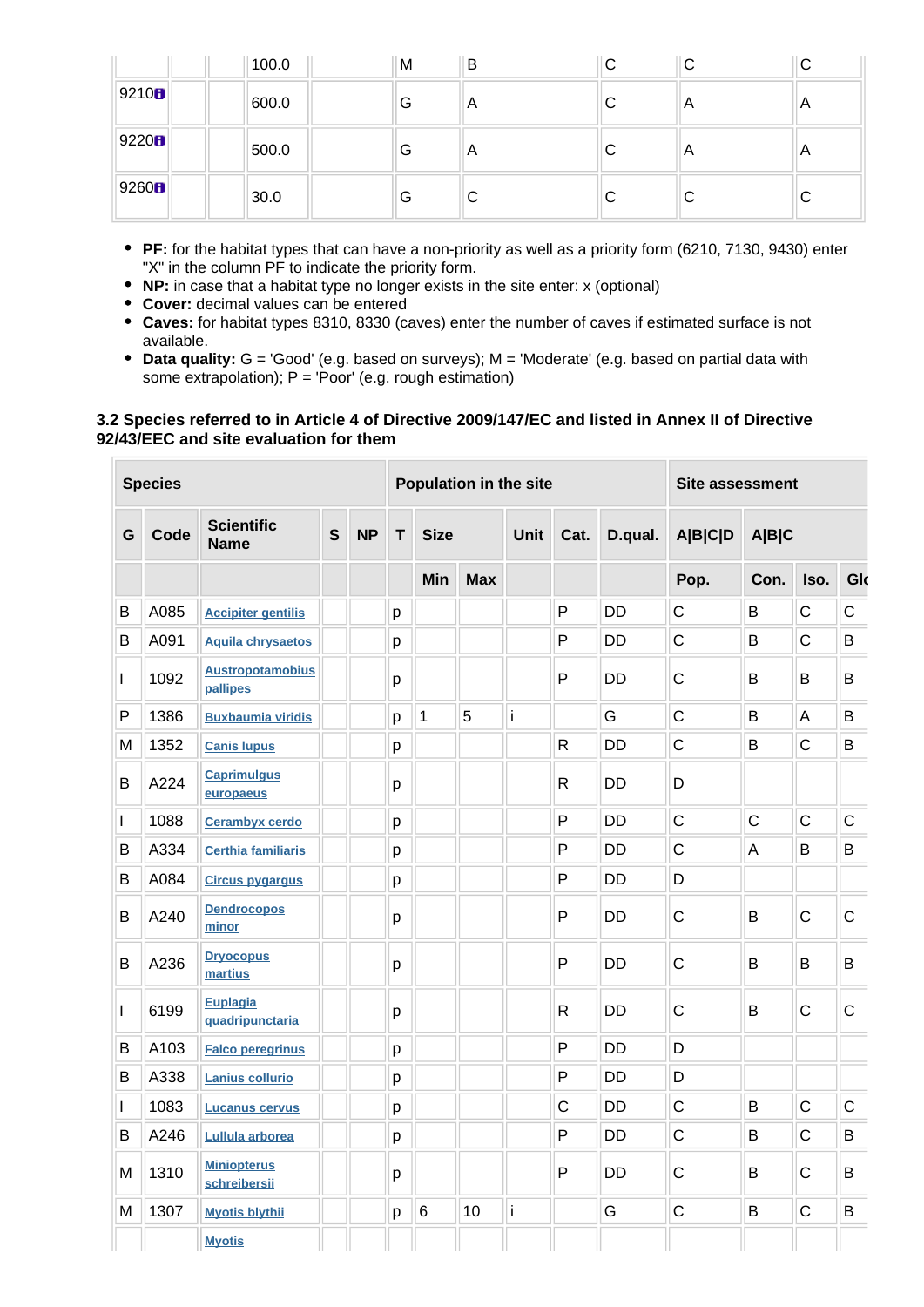|                   | 100.0 | M | В | ◡ | ◡  | ◡              |
|-------------------|-------|---|---|---|----|----------------|
| 9210 <sub>B</sub> | 600.0 | G | A | С | A  | A              |
| 9220 <sub>0</sub> | 500.0 | G | A | С | A  | $\overline{A}$ |
| 9260 <sup>2</sup> | 30.0  | G | C | С | IС | ◡              |

- **PF:** for the habitat types that can have a non-priority as well as a priority form (6210, 7130, 9430) enter "X" in the column PF to indicate the priority form.
- **NP:** in case that a habitat type no longer exists in the site enter: x (optional)
- **Cover:** decimal values can be entered
- **Caves:** for habitat types 8310, 8330 (caves) enter the number of caves if estimated surface is not available.
- **Data quality:** G = 'Good' (e.g. based on surveys); M = 'Moderate' (e.g. based on partial data with some extrapolation);  $P = 'Poor'$  (e.g. rough estimation)

#### **3.2 Species referred to in Article 4 of Directive 2009/147/EC and listed in Annex II of Directive 92/43/EEC and site evaluation for them**

|              | <b>Species</b> |                                     |              |           |                  | Population in the site |             |      |              |                |                | Site assessment |              |             |  |
|--------------|----------------|-------------------------------------|--------------|-----------|------------------|------------------------|-------------|------|--------------|----------------|----------------|-----------------|--------------|-------------|--|
| G            | Code           | <b>Scientific</b><br><b>Name</b>    | $\mathsf{s}$ | <b>NP</b> | <b>Size</b><br>т |                        | <b>Unit</b> | Cat. | D.qual.      | <b>A B C D</b> | <b>A B C</b>   |                 |              |             |  |
|              |                |                                     |              |           |                  | Min                    | <b>Max</b>  |      |              |                | Pop.           | Con.            | Iso.         | Glo         |  |
| B            | A085           | <b>Accipiter gentilis</b>           |              |           | p                |                        |             |      | P            | <b>DD</b>      | $\mathsf C$    | B               | $\mathsf{C}$ | $\mathsf C$ |  |
| В            | A091           | <b>Aquila chrysaetos</b>            |              |           | p                |                        |             |      | P            | <b>DD</b>      | $\mathsf{C}$   | B               | $\mathsf{C}$ | B           |  |
| $\mathbf{I}$ | 1092           | <b>Austropotamobius</b><br>pallipes |              |           | р                |                        |             |      | P            | <b>DD</b>      | $\mathsf C$    | B               | B            | B           |  |
| $\mathsf{P}$ | 1386           | <b>Buxbaumia viridis</b>            |              |           | p                | 1                      | 5           | İ    |              | G              | $\mathsf{C}$   | B               | A            | B           |  |
| M            | 1352           | <b>Canis lupus</b>                  |              |           | р                |                        |             |      | $\mathsf{R}$ | <b>DD</b>      | $\mathsf{C}$   | B               | $\mathsf{C}$ | B           |  |
| B            | A224           | <b>Caprimulgus</b><br>europaeus     |              |           | p                |                        |             |      | $\mathsf{R}$ | <b>DD</b>      | D              |                 |              |             |  |
| $\mathbf{I}$ | 1088           | <b>Cerambyx cerdo</b>               |              |           | p                |                        |             |      | P            | <b>DD</b>      | $\overline{C}$ | $\overline{C}$  | $\mathsf{C}$ | $\mathsf C$ |  |
| В            | A334           | <b>Certhia familiaris</b>           |              |           | p                |                        |             |      | P            | <b>DD</b>      | $\overline{C}$ | A               | B            | B           |  |
| B            | A084           | <b>Circus pygargus</b>              |              |           | p                |                        |             |      | P            | <b>DD</b>      | D              |                 |              |             |  |
| B            | A240           | <b>Dendrocopos</b><br>minor         |              |           | p                |                        |             |      | P            | <b>DD</b>      | $\mathsf C$    | B               | $\mathsf{C}$ | $\mathsf C$ |  |
| B            | A236           | <b>Dryocopus</b><br>martius         |              |           | p                |                        |             |      | P            | <b>DD</b>      | $\mathsf{C}$   | B               | B            | B           |  |
| I            | 6199           | <b>Euplagia</b><br>quadripunctaria  |              |           | p                |                        |             |      | $\mathsf{R}$ | <b>DD</b>      | $\mathsf{C}$   | B               | $\mathsf C$  | $\mathsf C$ |  |
| В            | A103           | <b>Falco peregrinus</b>             |              |           | p                |                        |             |      | P            | <b>DD</b>      | D              |                 |              |             |  |
| В            | A338           | <b>Lanius collurio</b>              |              |           | p                |                        |             |      | P            | <b>DD</b>      | D              |                 |              |             |  |
| $\mathbf{I}$ | 1083           | <b>Lucanus cervus</b>               |              |           | p                |                        |             |      | $\mathsf{C}$ | <b>DD</b>      | $\mathsf{C}$   | B               | $\mathsf{C}$ | $\mathsf C$ |  |
| B            | A246           | Lullula arborea                     |              |           | p                |                        |             |      | P            | <b>DD</b>      | $\mathsf{C}$   | B               | $\mathsf{C}$ | B           |  |
| M            | 1310           | <b>Miniopterus</b><br>schreibersii  |              |           | p                |                        |             |      | P            | <b>DD</b>      | $\mathsf{C}$   | B               | $\mathsf{C}$ | B           |  |
| M            | 1307           | <b>Myotis blythii</b>               |              |           | р                | 6                      | 10          | İ    |              | G              | $\mathsf{C}$   | B               | $\mathsf C$  | B           |  |
|              |                | <b>Myotis</b>                       |              |           |                  |                        |             |      |              |                |                |                 |              |             |  |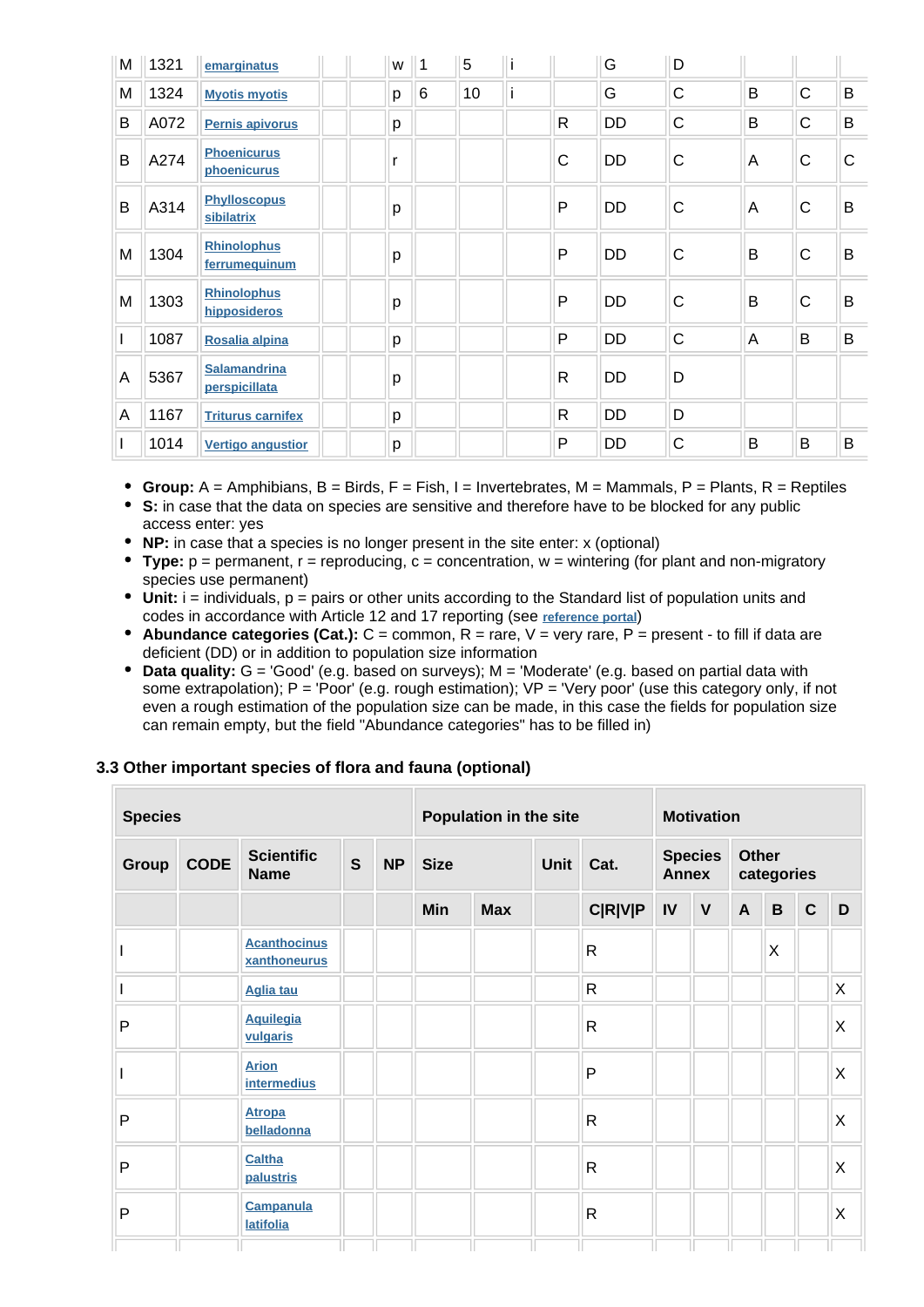| M | 1321 | emarginatus                          | W | $\vert$ 1 | 5  |              | G         | D           |   |              |              |
|---|------|--------------------------------------|---|-----------|----|--------------|-----------|-------------|---|--------------|--------------|
| M | 1324 | <b>Myotis myotis</b>                 | p | 6         | 10 |              | G         | C           | B | $\mathsf{C}$ | B            |
| B | A072 | Pernis apivorus                      |   |           |    | R            | <b>DD</b> | $\mathsf C$ | B | $\mathsf{C}$ | B            |
| B | A274 | <b>Phoenicurus</b><br>phoenicurus    |   |           |    | $\mathsf{C}$ | <b>DD</b> | C           | A | $\mathsf C$  | $\mathsf{C}$ |
| B | A314 | <b>Phylloscopus</b><br>sibilatrix    | p |           |    | $\mathsf{P}$ | DD        | $\mathsf C$ | A | $\mathsf{C}$ | B            |
| M | 1304 | <b>Rhinolophus</b><br>ferrumequinum  |   |           |    | P            | <b>DD</b> | C           | B | $\mathsf{C}$ | B            |
| M | 1303 | <b>Rhinolophus</b><br>hipposideros   | p |           |    | $\mathsf{P}$ | DD        | C           | B | $\mathsf C$  | B            |
| I | 1087 | Rosalia alpina                       | p |           |    | $\mathsf{P}$ | DD        | $\mathsf C$ | A | B            | B            |
| Α | 5367 | <b>Salamandrina</b><br>perspicillata | p |           |    | $\mathsf{R}$ | <b>DD</b> | D           |   |              |              |
| Α | 1167 | <b>Triturus carnifex</b>             | p |           |    | $\mathsf{R}$ | DD        | D           |   |              |              |
| I | 1014 | <b>Vertigo angustior</b>             | р |           |    | $\mathsf{P}$ | DD        | C           | B | B            | B            |

- **Group:**  $A =$  Amphibians,  $B =$  Birds,  $F =$  Fish,  $I =$  Invertebrates,  $M =$  Mammals,  $P =$  Plants,  $R =$  Reptiles
- **S:** in case that the data on species are sensitive and therefore have to be blocked for any public access enter: yes
- **NP:** in case that a species is no longer present in the site enter: x (optional)
- **Type:**  $p =$  permanent,  $r =$  reproducing,  $c =$  concentration,  $w =$  wintering (for plant and non-migratory species use permanent)
- Unit: i = individuals, p = pairs or other units according to the Standard list of population units and codes in accordance with Article 12 and 17 reporting (see **[reference portal](http://bd.eionet.europa.eu/activities/Natura_2000/reference_portal)**)
- **Abundance categories (Cat.):** C = common, R = rare, V = very rare, P = present to fill if data are deficient (DD) or in addition to population size information
- **Data quality:** G = 'Good' (e.g. based on surveys); M = 'Moderate' (e.g. based on partial data with some extrapolation); P = 'Poor' (e.g. rough estimation); VP = 'Very poor' (use this category only, if not even a rough estimation of the population size can be made, in this case the fields for population size can remain empty, but the field "Abundance categories" has to be filled in)

# **3.3 Other important species of flora and fauna (optional)**

| <b>Species</b> |             |                                      |              |           | Population in the site |             |  |                | <b>Motivation</b>              |              |                            |          |              |    |
|----------------|-------------|--------------------------------------|--------------|-----------|------------------------|-------------|--|----------------|--------------------------------|--------------|----------------------------|----------|--------------|----|
| Group          | <b>CODE</b> | <b>Scientific</b><br><b>Name</b>     | $\mathbf{s}$ | <b>NP</b> | <b>Size</b>            | <b>Unit</b> |  | Cat.           | <b>Species</b><br><b>Annex</b> |              | <b>Other</b><br>categories |          |              |    |
|                |             |                                      |              |           | Min                    | <b>Max</b>  |  | <b>C R V P</b> | IV                             | $\mathbf{V}$ | $\mathsf{A}$               | B        | $\mathbf{C}$ | D  |
|                |             | <b>Acanthocinus</b><br>xanthoneurus  |              |           |                        |             |  | $\mathsf{R}$   |                                |              |                            | $\times$ |              |    |
|                |             | <b>Aglia tau</b>                     |              |           |                        |             |  | $\mathsf{R}$   |                                |              |                            |          |              | X. |
| P              |             | <b>Aquilegia</b><br>vulgaris         |              |           |                        |             |  | $\mathsf{R}$   |                                |              |                            |          |              | X  |
|                |             | <b>Arion</b><br><b>intermedius</b>   |              |           |                        |             |  | $\mathsf{P}$   |                                |              |                            |          |              | X  |
| P              |             | <b>Atropa</b><br>belladonna          |              |           |                        |             |  | $\mathsf{R}$   |                                |              |                            |          |              | Χ  |
| P              |             | Caltha<br>palustris                  |              |           |                        |             |  | $\mathsf{R}$   |                                |              |                            |          |              | X  |
| P              |             | <b>Campanula</b><br><b>latifolia</b> |              |           |                        |             |  | $\mathsf{R}$   |                                |              |                            |          |              | X  |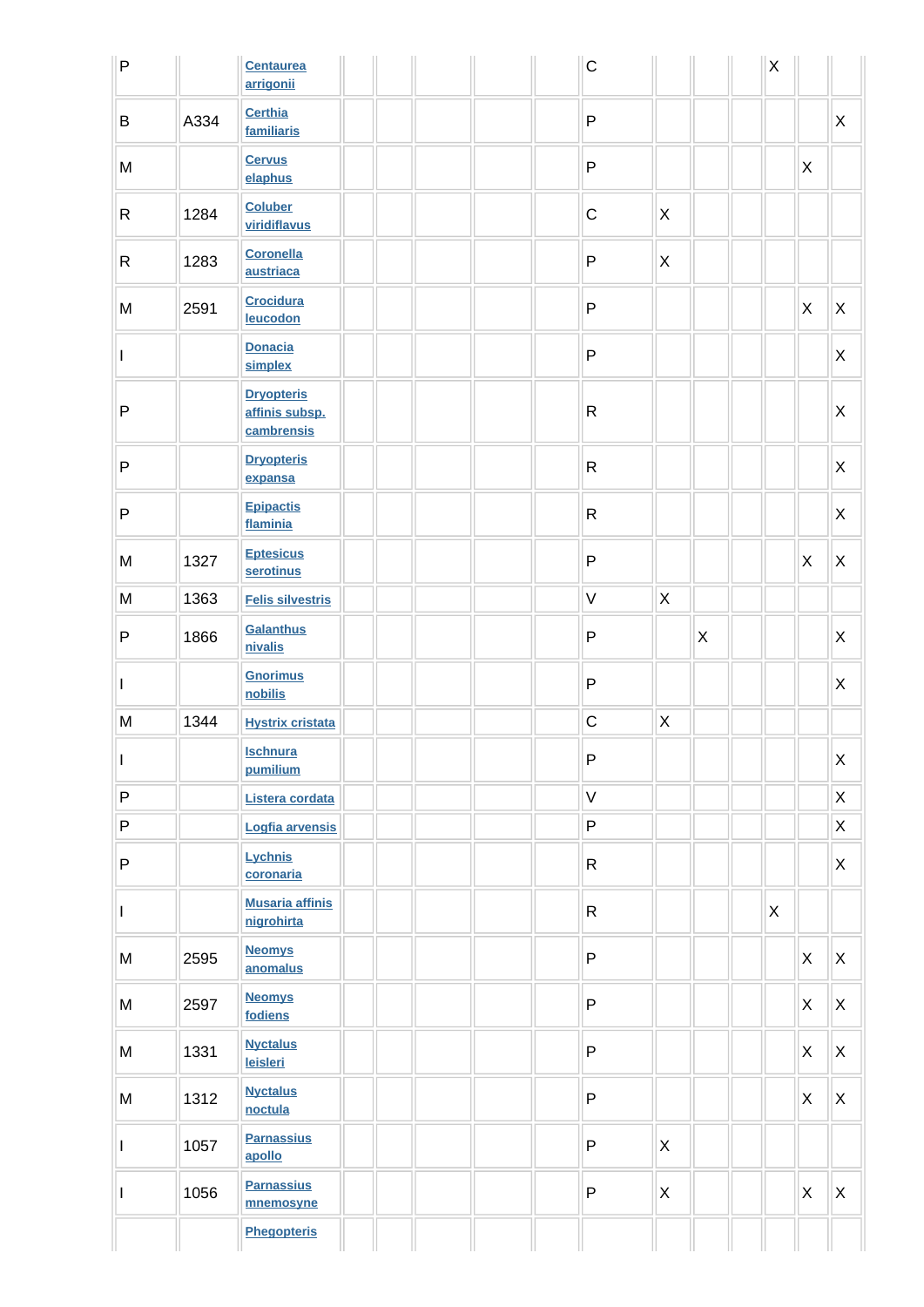| $\sf P$                  |      | <b>Centaurea</b><br>arrigonii                     |  | $\mathsf C$  |                |              | $\mathsf X$  |                           |              |
|--------------------------|------|---------------------------------------------------|--|--------------|----------------|--------------|--------------|---------------------------|--------------|
| $\sf B$                  | A334 | <b>Certhia</b><br>familiaris                      |  | $\sf P$      |                |              |              |                           | X            |
| ${\sf M}$                |      | <b>Cervus</b><br>elaphus                          |  | $\sf P$      |                |              |              | X                         |              |
| $\mathsf{R}$             | 1284 | <b>Coluber</b><br>viridiflavus                    |  | $\mathbf C$  | X              |              |              |                           |              |
| $\mathsf{R}$             | 1283 | <b>Coronella</b><br>austriaca                     |  | $\sf P$      | $\pmb{\times}$ |              |              |                           |              |
| M                        | 2591 | <b>Crocidura</b><br>leucodon                      |  | $\sf P$      |                |              |              | $\boldsymbol{\mathsf{X}}$ | X            |
| L                        |      | <b>Donacia</b><br>simplex                         |  | ${\sf P}$    |                |              |              |                           | X            |
| ${\sf P}$                |      | <b>Dryopteris</b><br>affinis subsp.<br>cambrensis |  | $\mathsf{R}$ |                |              |              |                           | $\mathsf{X}$ |
| $\sf P$                  |      | <b>Dryopteris</b><br>expansa                      |  | $\mathsf{R}$ |                |              |              |                           | X            |
| ${\sf P}$                |      | <b>Epipactis</b><br>flaminia                      |  | $\mathsf{R}$ |                |              |              |                           | X            |
| M                        | 1327 | <b>Eptesicus</b><br>serotinus                     |  | ${\sf P}$    |                |              |              | $\mathsf{X}$              | X            |
| ${\sf M}$                | 1363 | <b>Felis silvestris</b>                           |  | $\mathsf V$  | $\mathsf X$    |              |              |                           |              |
| P                        | 1866 | <b>Galanthus</b><br>nivalis                       |  | $\sf P$      |                | $\mathsf{X}$ |              |                           | X            |
| $\mathbf{I}$             |      | <b>Gnorimus</b><br>nobilis                        |  | ${\sf P}$    |                |              |              |                           | $\mathsf{X}$ |
| ${\sf M}$                | 1344 | <b>Hystrix cristata</b>                           |  | $\mathsf C$  | $\mathsf X$    |              |              |                           |              |
| $\overline{\phantom{a}}$ |      | <u>Ischnura</u><br>pumilium                       |  | ${\sf P}$    |                |              |              |                           | X            |
| $\sf P$                  |      | Listera cordata                                   |  | $\mathsf V$  |                |              |              |                           | X            |
| $\sf P$                  |      | Logfia arvensis                                   |  | P            |                |              |              |                           | X            |
| ${\sf P}$                |      | Lychnis<br>coronaria                              |  | $\mathsf{R}$ |                |              |              |                           | X            |
| $\mathbf{I}$             |      | <b>Musaria affinis</b><br>nigrohirta              |  | $\mathsf{R}$ |                |              | $\mathsf{X}$ |                           |              |
| ${\sf M}$                | 2595 | <b>Neomys</b><br>anomalus                         |  | $\sf P$      |                |              |              | $\mathsf{X}$              | X            |
| M                        | 2597 | <b>Neomys</b><br>fodiens                          |  | P            |                |              |              | $\boldsymbol{\mathsf{X}}$ | X            |
| ${\sf M}$                | 1331 | <b>Nyctalus</b><br>leisleri                       |  | $\sf P$      |                |              |              | $\mathsf{X}$              | X            |
| ${\sf M}$                | 1312 | <b>Nyctalus</b><br>noctula                        |  | P            |                |              |              | $\boldsymbol{\mathsf{X}}$ | X            |
| $\mathbf{I}$             | 1057 | <b>Parnassius</b><br>apollo                       |  | $\sf P$      | X              |              |              |                           |              |
| $\mathbf{I}$             | 1056 | <b>Parnassius</b><br>mnemosyne                    |  | $\sf P$      | $\mathsf X$    |              |              | $\boldsymbol{\mathsf{X}}$ | X            |
|                          |      | <b>Phegopteris</b>                                |  |              |                |              |              |                           |              |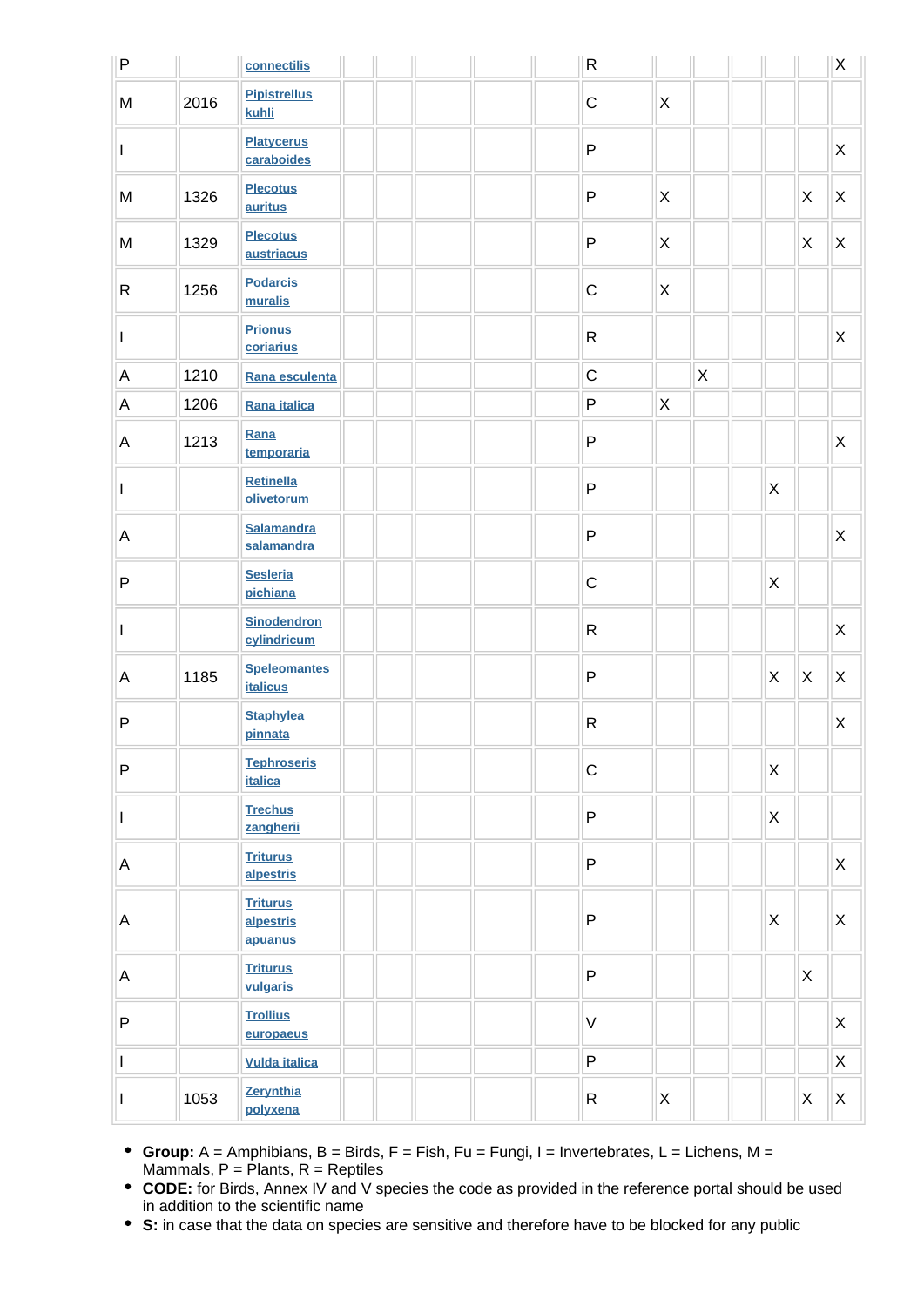| $\sf P$      |      | connectilis                             |  | $\mathsf{R}$ |                           |              |                           |    | X |
|--------------|------|-----------------------------------------|--|--------------|---------------------------|--------------|---------------------------|----|---|
| M            | 2016 | <b>Pipistrellus</b><br>kuhli            |  | $\mathbf C$  | $\boldsymbol{\mathsf{X}}$ |              |                           |    |   |
| I            |      | <b>Platycerus</b><br>caraboides         |  | $\sf P$      |                           |              |                           |    | X |
| M            | 1326 | <b>Plecotus</b><br>auritus              |  | ${\sf P}$    | X                         |              |                           | X  | X |
| M            | 1329 | <b>Plecotus</b><br>austriacus           |  | $\sf P$      | $\boldsymbol{\mathsf{X}}$ |              |                           | X  | X |
| R            | 1256 | <b>Podarcis</b><br>muralis              |  | $\mathsf C$  | $\pmb{\times}$            |              |                           |    |   |
| L            |      | <b>Prionus</b><br>coriarius             |  | $\mathsf{R}$ |                           |              |                           |    | X |
| A            | 1210 | Rana esculenta                          |  | $\mathsf C$  |                           | $\mathsf{X}$ |                           |    |   |
| A            | 1206 | Rana italica                            |  | ${\sf P}$    | $\mathsf X$               |              |                           |    |   |
| A            | 1213 | Rana<br>temporaria                      |  | $\sf P$      |                           |              |                           |    | X |
| L            |      | Retinella<br>olivetorum                 |  | ${\sf P}$    |                           |              | X                         |    |   |
| А            |      | <b>Salamandra</b><br>salamandra         |  | ${\sf P}$    |                           |              |                           |    | X |
| $\mathsf{P}$ |      | <b>Sesleria</b><br>pichiana             |  | $\mathsf C$  |                           |              | X                         |    |   |
| L            |      | <b>Sinodendron</b><br>cylindricum       |  | ${\sf R}$    |                           |              |                           |    | X |
| A            | 1185 | <b>Speleomantes</b><br><b>italicus</b>  |  | ${\sf P}$    |                           |              | $\pmb{\times}$            | X. | Χ |
| $\sf P$      |      | <b>Staphylea</b><br>pinnata             |  | ${\sf R}$    |                           |              |                           |    | Χ |
| P            |      | <b>Tephroseris</b><br><b>italica</b>    |  | $\mathsf C$  |                           |              | $\boldsymbol{\mathsf{X}}$ |    |   |
| L            |      | <b>Trechus</b><br>zangherii             |  | $\sf P$      |                           |              | $\mathsf X$               |    |   |
| $\mathsf A$  |      | <b>Triturus</b><br>alpestris            |  | $\sf P$      |                           |              |                           |    | X |
| А            |      | <b>Triturus</b><br>alpestris<br>apuanus |  | $\sf P$      |                           |              | $\boldsymbol{\mathsf{X}}$ |    | X |
| $\mathsf A$  |      | <b>Triturus</b><br>vulgaris             |  | $\sf P$      |                           |              |                           | X  |   |
| $\sf P$      |      | <b>Trollius</b><br>europaeus            |  | $\vee$       |                           |              |                           |    | X |
| I            |      | <b>Vulda italica</b>                    |  | $\sf P$      |                           |              |                           |    | X |
|              | 1053 | Zerynthia<br>polyxena                   |  | $\mathsf{R}$ | $\boldsymbol{\mathsf{X}}$ |              |                           | X  | X |

- **Group:** A = Amphibians, B = Birds, F = Fish, Fu = Fungi, I = Invertebrates, L = Lichens, M = Mammals,  $P =$  Plants,  $R =$  Reptiles
- **CODE:** for Birds, Annex IV and V species the code as provided in the reference portal should be used in addition to the scientific name
- **S:** in case that the data on species are sensitive and therefore have to be blocked for any public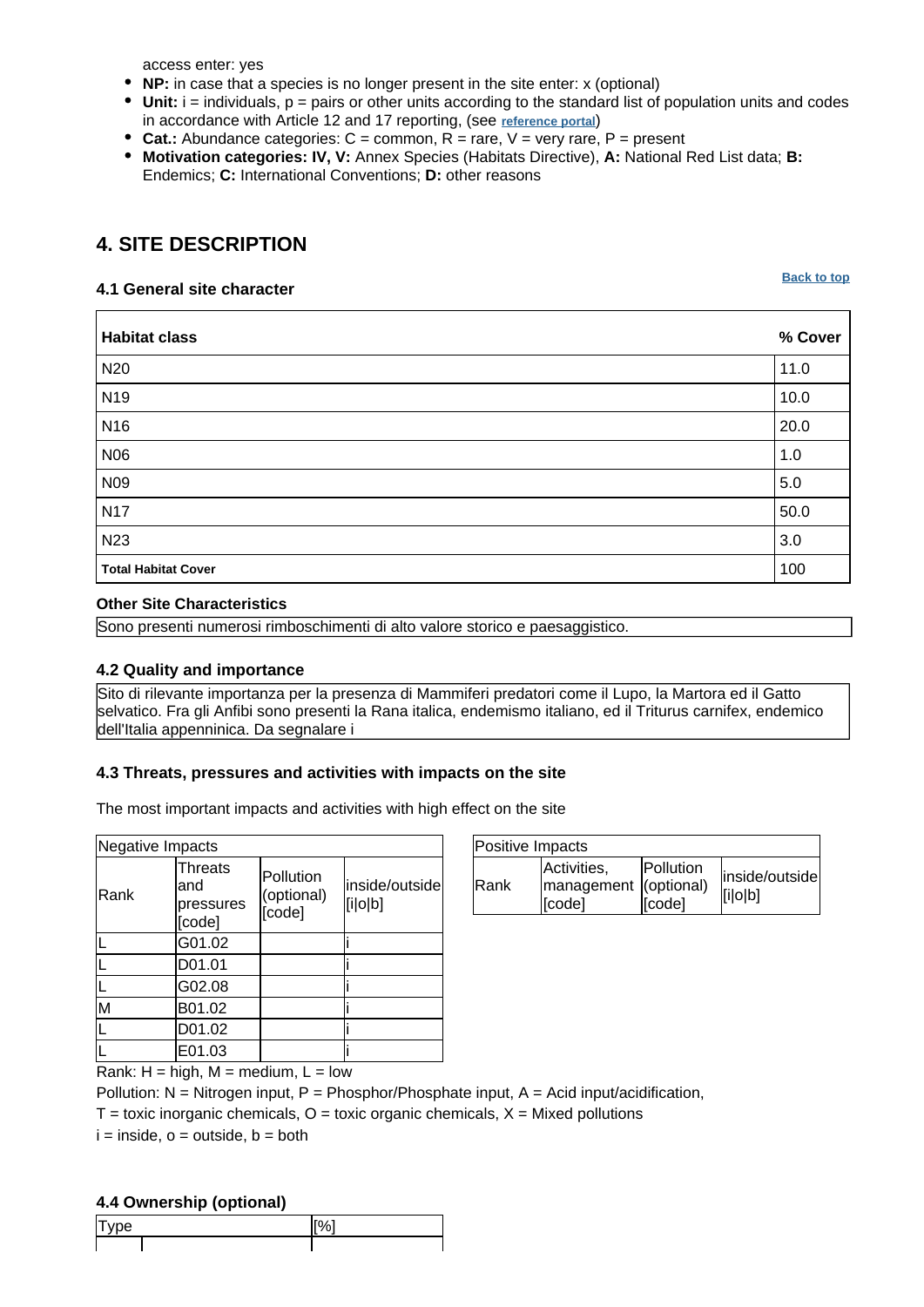access enter: yes

- **NP:** in case that a species is no longer present in the site enter: x (optional)
- $\bullet$  Unit:  $i =$  individuals,  $p =$  pairs or other units according to the standard list of population units and codes in accordance with Article 12 and 17 reporting, (see **[reference portal](http://bd.eionet.europa.eu/activities/Natura_2000/reference_portal)**)
- **Cat.:** Abundance categories: C = common, R = rare, V = very rare, P = present
- **Motivation categories: IV, V:** Annex Species (Habitats Directive), **A:** National Red List data; **B:** Endemics; **C:** International Conventions; **D:** other reasons

# <span id="page-6-0"></span>**4. SITE DESCRIPTION**

#### **4.1 General site character**

**[Back to top](#page-0-0)**

| <b>Habitat class</b>       | % Cover |
|----------------------------|---------|
| N <sub>20</sub>            | 11.0    |
| N <sub>19</sub>            | 10.0    |
| <b>N16</b>                 | 20.0    |
| <b>N06</b>                 | 1.0     |
| N09                        | $5.0\,$ |
| <b>N17</b>                 | 50.0    |
| <b>N23</b>                 | 3.0     |
| <b>Total Habitat Cover</b> | 100     |

#### **Other Site Characteristics**

Sono presenti numerosi rimboschimenti di alto valore storico e paesaggistico.

#### **4.2 Quality and importance**

Sito di rilevante importanza per la presenza di Mammiferi predatori come il Lupo, la Martora ed il Gatto selvatico. Fra gli Anfibi sono presenti la Rana italica, endemismo italiano, ed il Triturus carnifex, endemico dell'Italia appenninica. Da segnalare i

### **4.3 Threats, pressures and activities with impacts on the site**

The most important impacts and activities with high effect on the site

| Negative Impacts                             |                                   |                           |  |
|----------------------------------------------|-----------------------------------|---------------------------|--|
| <b>Threats</b><br>and<br>pressures<br>[code] | Pollution<br>(optional)<br>[code] | inside/outside<br>[i o b] |  |
| G01.02                                       |                                   |                           |  |
| D01.01                                       |                                   |                           |  |
| G02.08                                       |                                   |                           |  |
| B01.02                                       |                                   |                           |  |
| D01.02                                       |                                   |                           |  |
| E01.03                                       |                                   |                           |  |
|                                              |                                   |                           |  |

| Positive Impacts |                                                |                     |                           |
|------------------|------------------------------------------------|---------------------|---------------------------|
| <b>IRank</b>     | Activities,<br>management (optional)<br>[code] | Pollution<br>[code] | inside/outside<br>[i o b] |

Rank:  $H = high$ ,  $M = medium$ ,  $L = low$ 

Pollution:  $N =$  Nitrogen input, P = Phosphor/Phosphate input, A = Acid input/acidification,

 $T =$  toxic inorganic chemicals,  $Q =$  toxic organic chemicals,  $X =$  Mixed pollutions

 $i = inside, o = outside, b = both$ 

### **4.4 Ownership (optional)**

|    | $\sim$ |  |
|----|--------|--|
| Iэ |        |  |
|    |        |  |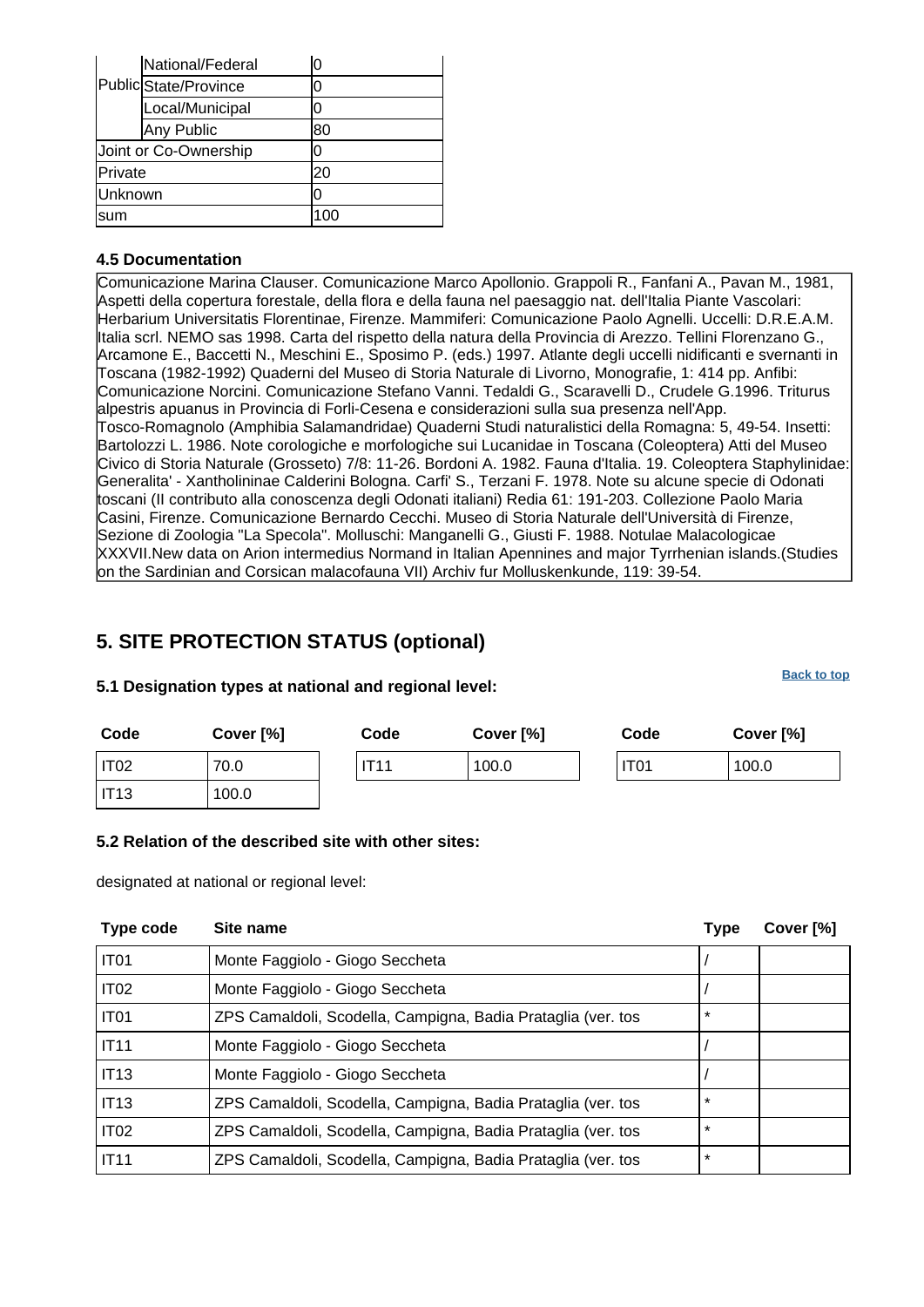|         | National/Federal      | 0   |
|---------|-----------------------|-----|
|         | Public State/Province | 0   |
|         | Local/Municipal       | 0   |
|         | Any Public            | 80  |
|         | Joint or Co-Ownership | 0   |
| Private |                       | 20  |
| Unknown |                       | 0   |
| lsum    |                       | 100 |

### **4.5 Documentation**

Comunicazione Marina Clauser. Comunicazione Marco Apollonio. Grappoli R., Fanfani A., Pavan M., 1981. Aspetti della copertura forestale, della flora e della fauna nel paesaggio nat. dell'Italia Piante Vascolari: Herbarium Universitatis Florentinae, Firenze. Mammiferi:
Comunicazione Paolo Agnelli. Uccelli:
D.R.E.A.M. Italia scrl. NEMO sas 1998. Carta del rispetto della natura della Provincia di Arezzo. Tellini Florenzano G., Arcamone E., Baccetti N., Meschini E., Sposimo P. (eds.) 1997. Atlante degli uccelli nidificanti e svernanti in Toscana (1982-1992) Quaderni del Museo di Storia Naturale di Livorno, Monografie, 1: 414 pp. Anfibi: Comunicazione Norcini.
Comunicazione Stefano Vanni. Tedaldi G., Scaravelli D., Crudele G.1996. Triturus alpestris apuanus in Provincia di Forli-Cesena e considerazioni sulla sua presenza nell'App. Tosco-Romagnolo (Amphibia Salamandridae) Quaderni Studi naturalistici della Romagna: 5, 49-54. Insetti: Bartolozzi L. 1986. Note corologiche e morfologiche sui Lucanidae in Toscana (Coleoptera) Atti del Museo Civico di Storia Naturale (Grosseto) 7/8: 11-26. Bordoni A. 1982. Fauna d'Italia. 19. Coleoptera Staphylinidae: Generalita' - Xantholininae Calderini Bologna. Carfi' S., Terzani F. 1978. Note su alcune specie di Odonati toscani (II contributo alla conoscenza degli Odonati italiani) Redia 61: 191-203. Collezione Paolo Maria Casini, Firenze.
Comunicazione Bernardo Cecchi. Museo di Storia Naturale dell'Università di Firenze, Sezione di Zoologia "La Specola". Molluschi:
Manganelli G., Giusti F. 1988. Notulae Malacologicae XXXVII.New data on Arion intermedius Normand in Italian Apennines and major Tyrrhenian islands.(Studies on the Sardinian and Corsican malacofauna VII) Archiv fur Molluskenkunde, 119: 39-54.

# <span id="page-7-0"></span>**5. SITE PROTECTION STATUS (optional)**

### **5.1 Designation types at national and regional level:**

**Code Cover [%] Code Cover [%] Code Cover [%]** IT02 70.0 IT11 100.0 IT01 100.0  $IT13$   $100.0$ 

### **5.2 Relation of the described site with other sites:**

designated at national or regional level:

<span id="page-7-1"></span>

| <b>Type code</b> | Site name                                                    | <b>Type</b> | Cover [%] |
|------------------|--------------------------------------------------------------|-------------|-----------|
| IT <sub>01</sub> | Monte Faggiolo - Giogo Seccheta                              |             |           |
| IT <sub>02</sub> | Monte Faggiolo - Giogo Seccheta                              |             |           |
| IT <sub>01</sub> | ZPS Camaldoli, Scodella, Campigna, Badia Prataglia (ver. tos | $\star$     |           |
| <b>IT11</b>      | Monte Faggiolo - Giogo Seccheta                              |             |           |
| <b>IT13</b>      | Monte Faggiolo - Giogo Seccheta                              |             |           |
| <b>IT13</b>      | ZPS Camaldoli, Scodella, Campigna, Badia Prataglia (ver. tos | $\star$     |           |
| IT <sub>02</sub> | ZPS Camaldoli, Scodella, Campigna, Badia Prataglia (ver. tos | $\star$     |           |
| <b>IT11</b>      | ZPS Camaldoli, Scodella, Campigna, Badia Prataglia (ver. tos | $\star$     |           |

#### **[Back to top](#page-0-0)**